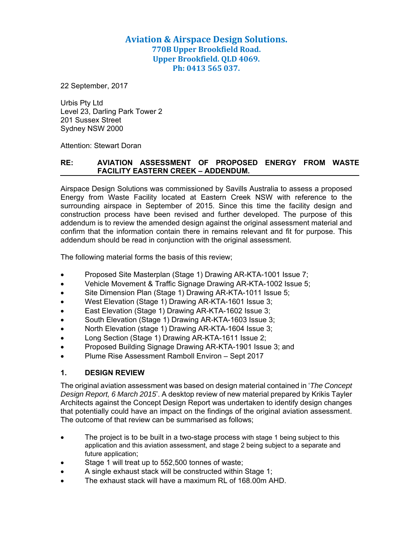# **Aviation & Airspace Design Solutions. 770B Upper Brookfield Road. Upper Brookfield. QLD 4069. Ph: 0413 565 037.**

22 September, 2017

Urbis Pty Ltd Level 23, Darling Park Tower 2 201 Sussex Street Sydney NSW 2000

Attention: Stewart Doran

### **RE: AVIATION ASSESSMENT OF PROPOSED ENERGY FROM WASTE FACILITY EASTERN CREEK – ADDENDUM.**

Airspace Design Solutions was commissioned by Savills Australia to assess a proposed Energy from Waste Facility located at Eastern Creek NSW with reference to the surrounding airspace in September of 2015. Since this time the facility design and construction process have been revised and further developed. The purpose of this addendum is to review the amended design against the original assessment material and confirm that the information contain there in remains relevant and fit for purpose. This addendum should be read in conjunction with the original assessment.

The following material forms the basis of this review;

- Proposed Site Masterplan (Stage 1) Drawing AR-KTA-1001 Issue 7;
- Vehicle Movement & Traffic Signage Drawing AR-KTA-1002 Issue 5;
- Site Dimension Plan (Stage 1) Drawing AR-KTA-1011 Issue 5;
- West Elevation (Stage 1) Drawing AR-KTA-1601 Issue 3;
- East Elevation (Stage 1) Drawing AR-KTA-1602 Issue 3;
- South Elevation (Stage 1) Drawing AR-KTA-1603 Issue 3;
- North Elevation (stage 1) Drawing AR-KTA-1604 Issue 3;
- Long Section (Stage 1) Drawing AR-KTA-1611 Issue 2;
- Proposed Building Signage Drawing AR-KTA-1901 Issue 3; and
- Plume Rise Assessment Ramboll Environ Sept 2017

#### **1. DESIGN REVIEW**

The original aviation assessment was based on design material contained in '*The Concept Design Report, 6 March 2015*'. A desktop review of new material prepared by Krikis Tayler Architects against the Concept Design Report was undertaken to identify design changes that potentially could have an impact on the findings of the original aviation assessment. The outcome of that review can be summarised as follows;

- The project is to be built in a two-stage process with stage 1 being subject to this application and this aviation assessment, and stage 2 being subject to a separate and future application;
- Stage 1 will treat up to 552,500 tonnes of waste;
- A single exhaust stack will be constructed within Stage 1;
- The exhaust stack will have a maximum RL of 168.00m AHD.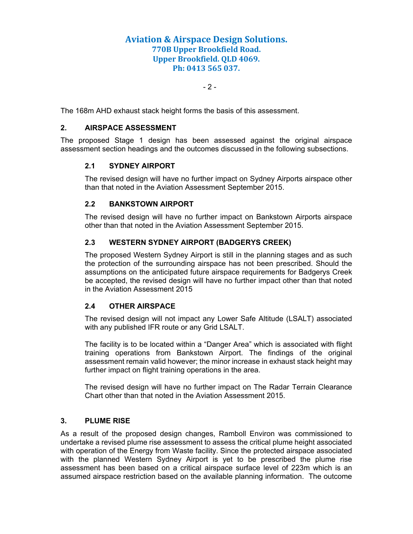## **Aviation & Airspace Design Solutions. 770B Upper Brookfield Road. Upper Brookfield. QLD 4069. Ph: 0413 565 037.**

 $-2$  -

The 168m AHD exhaust stack height forms the basis of this assessment.

### **2. AIRSPACE ASSESSMENT**

The proposed Stage 1 design has been assessed against the original airspace assessment section headings and the outcomes discussed in the following subsections.

#### **2.1 SYDNEY AIRPORT**

The revised design will have no further impact on Sydney Airports airspace other than that noted in the Aviation Assessment September 2015.

#### **2.2 BANKSTOWN AIRPORT**

The revised design will have no further impact on Bankstown Airports airspace other than that noted in the Aviation Assessment September 2015.

## **2.3 WESTERN SYDNEY AIRPORT (BADGERYS CREEK)**

The proposed Western Sydney Airport is still in the planning stages and as such the protection of the surrounding airspace has not been prescribed. Should the assumptions on the anticipated future airspace requirements for Badgerys Creek be accepted, the revised design will have no further impact other than that noted in the Aviation Assessment 2015

## **2.4 OTHER AIRSPACE**

The revised design will not impact any Lower Safe Altitude (LSALT) associated with any published IFR route or any Grid LSALT.

The facility is to be located within a "Danger Area" which is associated with flight training operations from Bankstown Airport. The findings of the original assessment remain valid however; the minor increase in exhaust stack height may further impact on flight training operations in the area.

The revised design will have no further impact on The Radar Terrain Clearance Chart other than that noted in the Aviation Assessment 2015.

#### **3. PLUME RISE**

As a result of the proposed design changes, Ramboll Environ was commissioned to undertake a revised plume rise assessment to assess the critical plume height associated with operation of the Energy from Waste facility. Since the protected airspace associated with the planned Western Sydney Airport is yet to be prescribed the plume rise assessment has been based on a critical airspace surface level of 223m which is an assumed airspace restriction based on the available planning information. The outcome